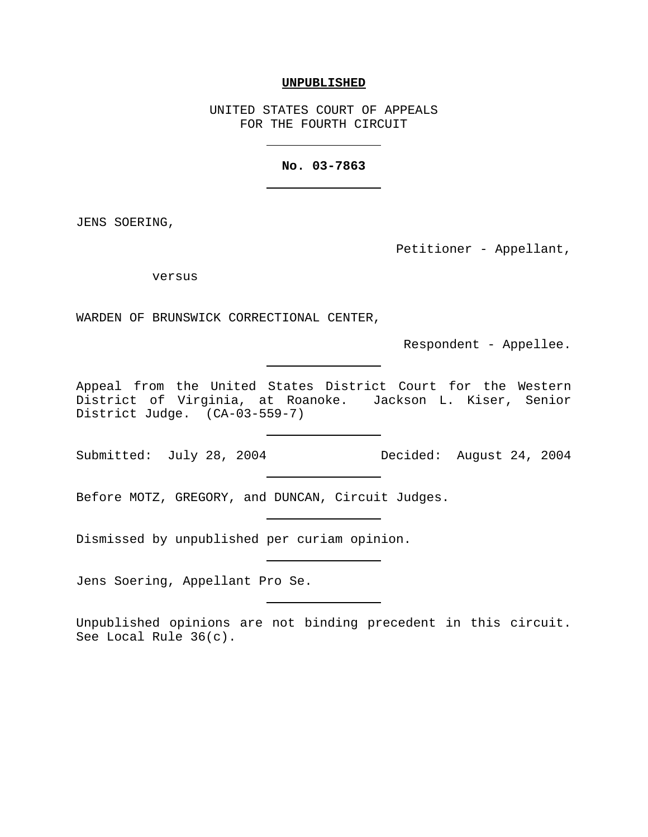## **UNPUBLISHED**

UNITED STATES COURT OF APPEALS FOR THE FOURTH CIRCUIT

## **No. 03-7863**

JENS SOERING,

Petitioner - Appellant,

versus

WARDEN OF BRUNSWICK CORRECTIONAL CENTER,

Respondent - Appellee.

Appeal from the United States District Court for the Western District of Virginia, at Roanoke. Jackson L. Kiser, Senior District Judge. (CA-03-559-7)

Submitted: July 28, 2004 Decided: August 24, 2004

Before MOTZ, GREGORY, and DUNCAN, Circuit Judges.

Dismissed by unpublished per curiam opinion.

Jens Soering, Appellant Pro Se.

Unpublished opinions are not binding precedent in this circuit. See Local Rule 36(c).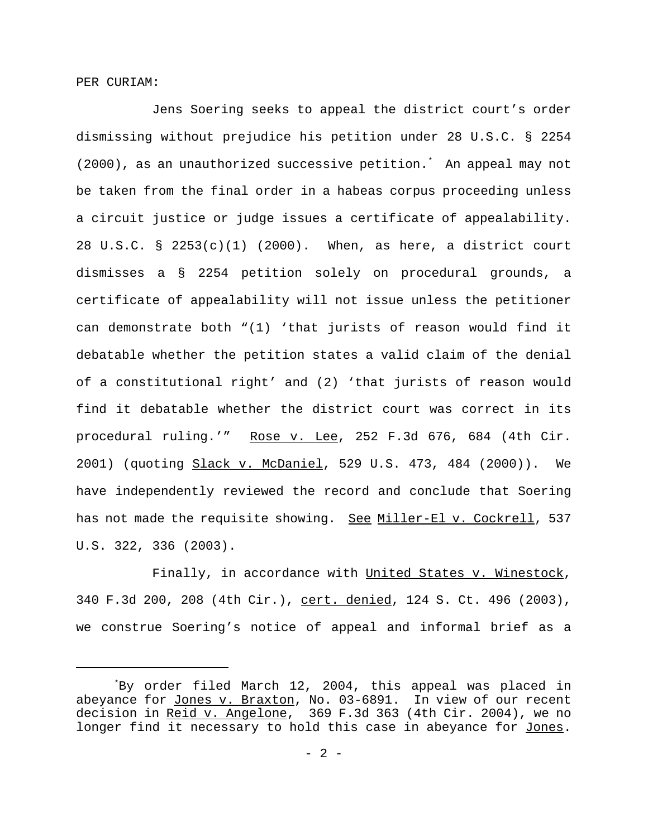PER CURIAM:

Jens Soering seeks to appeal the district court's order dismissing without prejudice his petition under 28 U.S.C. § 2254 (2000), as an unauthorized successive petition.\* An appeal may not be taken from the final order in a habeas corpus proceeding unless a circuit justice or judge issues a certificate of appealability. 28 U.S.C. § 2253(c)(1) (2000). When, as here, a district court dismisses a § 2254 petition solely on procedural grounds, a certificate of appealability will not issue unless the petitioner can demonstrate both "(1) 'that jurists of reason would find it debatable whether the petition states a valid claim of the denial of a constitutional right' and (2) 'that jurists of reason would find it debatable whether the district court was correct in its procedural ruling.'" Rose v. Lee, 252 F.3d 676, 684 (4th Cir. 2001) (quoting Slack v. McDaniel, 529 U.S. 473, 484 (2000)). We have independently reviewed the record and conclude that Soering has not made the requisite showing. See Miller-El v. Cockrell, 537 U.S. 322, 336 (2003).

Finally, in accordance with United States v. Winestock, 340 F.3d 200, 208 (4th Cir.), cert. denied, 124 S. Ct. 496 (2003), we construe Soering's notice of appeal and informal brief as a

<sup>\*</sup>By order filed March 12, 2004, this appeal was placed in abeyance for Jones v. Braxton, No. 03-6891. In view of our recent decision in Reid v. Angelone, 369 F.3d 363 (4th Cir. 2004), we no longer find it necessary to hold this case in abeyance for Jones.